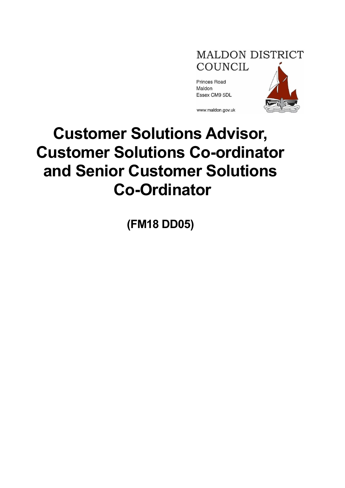# **MALDON DISTRICT** COUNCIL

Princes Road Maldon Essex CM9 5DL



www.maldon.gov.uk

# **Customer Solutions Advisor, Customer Solutions Co-ordinator and Senior Customer Solutions Co-Ordinator**

**(FM18 DD05)**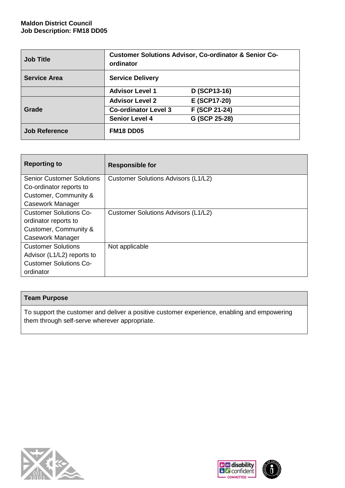#### **Maldon District Council Job Description: FM18 DD05**

| <b>Job Title</b>     | <b>Customer Solutions Advisor, Co-ordinator &amp; Senior Co-</b><br>ordinator |               |  |
|----------------------|-------------------------------------------------------------------------------|---------------|--|
| <b>Service Area</b>  | <b>Service Delivery</b>                                                       |               |  |
|                      | <b>Advisor Level 1</b>                                                        | D (SCP13-16)  |  |
|                      | <b>Advisor Level 2</b>                                                        | E (SCP17-20)  |  |
| Grade                | <b>Co-ordinator Level 3</b>                                                   | F (SCP 21-24) |  |
|                      | <b>Senior Level 4</b>                                                         | G (SCP 25-28) |  |
| <b>Job Reference</b> | <b>FM18 DD05</b>                                                              |               |  |

| <b>Reporting to</b>              | <b>Responsible for</b>              |
|----------------------------------|-------------------------------------|
| <b>Senior Customer Solutions</b> | Customer Solutions Advisors (L1/L2) |
| Co-ordinator reports to          |                                     |
| Customer, Community &            |                                     |
| Casework Manager                 |                                     |
| <b>Customer Solutions Co-</b>    | Customer Solutions Advisors (L1/L2) |
| ordinator reports to             |                                     |
| Customer, Community &            |                                     |
| Casework Manager                 |                                     |
| <b>Customer Solutions</b>        | Not applicable                      |
| Advisor (L1/L2) reports to       |                                     |
| <b>Customer Solutions Co-</b>    |                                     |
| ordinator                        |                                     |

## **Team Purpose**

To support the customer and deliver a positive customer experience, enabling and empowering them through self-serve wherever appropriate.



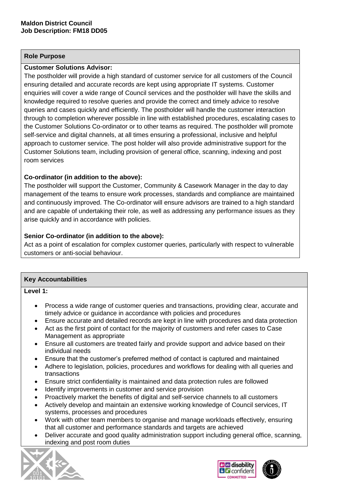#### **Role Purpose**

#### **Customer Solutions Advisor:**

The postholder will provide a high standard of customer service for all customers of the Council ensuring detailed and accurate records are kept using appropriate IT systems. Customer enquiries will cover a wide range of Council services and the postholder will have the skills and knowledge required to resolve queries and provide the correct and timely advice to resolve queries and cases quickly and efficiently. The postholder will handle the customer interaction through to completion wherever possible in line with established procedures, escalating cases to the Customer Solutions Co-ordinator or to other teams as required. The postholder will promote self-service and digital channels, at all times ensuring a professional, inclusive and helpful approach to customer service. The post holder will also provide administrative support for the Customer Solutions team, including provision of general office, scanning, indexing and post room services

### **Co-ordinator (in addition to the above):**

The postholder will support the Customer, Community & Casework Manager in the day to day management of the teams to ensure work processes, standards and compliance are maintained and continuously improved. The Co-ordinator will ensure advisors are trained to a high standard and are capable of undertaking their role, as well as addressing any performance issues as they arise quickly and in accordance with policies.

#### **Senior Co-ordinator (in addition to the above):**

Act as a point of escalation for complex customer queries, particularly with respect to vulnerable customers or anti-social behaviour.

#### **Key Accountabilities**

**Level 1:**

- Process a wide range of customer queries and transactions, providing clear, accurate and timely advice or guidance in accordance with policies and procedures
- Ensure accurate and detailed records are kept in line with procedures and data protection
- Act as the first point of contact for the majority of customers and refer cases to Case Management as appropriate
- Ensure all customers are treated fairly and provide support and advice based on their individual needs
- Ensure that the customer's preferred method of contact is captured and maintained
- Adhere to legislation, policies, procedures and workflows for dealing with all queries and transactions
- Ensure strict confidentiality is maintained and data protection rules are followed
- Identify improvements in customer and service provision
- Proactively market the benefits of digital and self-service channels to all customers
- Actively develop and maintain an extensive working knowledge of Council services, IT systems, processes and procedures
- Work with other team members to organise and manage workloads effectively, ensuring that all customer and performance standards and targets are achieved
- Deliver accurate and good quality administration support including general office, scanning, indexing and post room duties





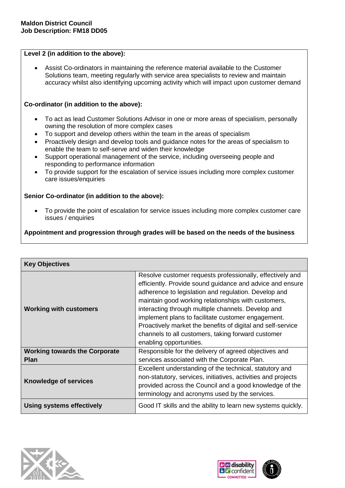#### **Level 2 (in addition to the above):**

• Assist Co-ordinators in maintaining the reference material available to the Customer Solutions team, meeting regularly with service area specialists to review and maintain accuracy whilst also identifying upcoming activity which will impact upon customer demand

#### **Co-ordinator (in addition to the above):**

- To act as lead Customer Solutions Advisor in one or more areas of specialism, personally owning the resolution of more complex cases
- To support and develop others within the team in the areas of specialism
- Proactively design and develop tools and guidance notes for the areas of specialism to enable the team to self-serve and widen their knowledge
- Support operational management of the service, including overseeing people and responding to performance information
- To provide support for the escalation of service issues including more complex customer care issues/enquiries

#### **Senior Co-ordinator (in addition to the above):**

• To provide the point of escalation for service issues including more complex customer care issues / enquiries

**Appointment and progression through grades will be based on the needs of the business**

| <b>Key Objectives</b>                |                                                                                                                                                                                                                                                                                                                                                                                                                                                                                                   |
|--------------------------------------|---------------------------------------------------------------------------------------------------------------------------------------------------------------------------------------------------------------------------------------------------------------------------------------------------------------------------------------------------------------------------------------------------------------------------------------------------------------------------------------------------|
| <b>Working with customers</b>        | Resolve customer requests professionally, effectively and<br>efficiently. Provide sound guidance and advice and ensure<br>adherence to legislation and regulation. Develop and<br>maintain good working relationships with customers,<br>interacting through multiple channels. Develop and<br>implement plans to facilitate customer engagement.<br>Proactively market the benefits of digital and self-service<br>channels to all customers, taking forward customer<br>enabling opportunities. |
| <b>Working towards the Corporate</b> | Responsible for the delivery of agreed objectives and                                                                                                                                                                                                                                                                                                                                                                                                                                             |
| <b>Plan</b>                          | services associated with the Corporate Plan.                                                                                                                                                                                                                                                                                                                                                                                                                                                      |
| <b>Knowledge of services</b>         | Excellent understanding of the technical, statutory and<br>non-statutory, services, initiatives, activities and projects<br>provided across the Council and a good knowledge of the<br>terminology and acronyms used by the services.                                                                                                                                                                                                                                                             |
| <b>Using systems effectively</b>     | Good IT skills and the ability to learn new systems quickly.                                                                                                                                                                                                                                                                                                                                                                                                                                      |



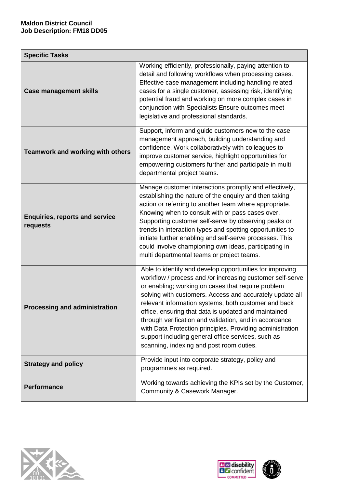| <b>Specific Tasks</b>                             |                                                                                                                                                                                                                                                                                                                                                                                                                                                                                                                                                                                  |  |
|---------------------------------------------------|----------------------------------------------------------------------------------------------------------------------------------------------------------------------------------------------------------------------------------------------------------------------------------------------------------------------------------------------------------------------------------------------------------------------------------------------------------------------------------------------------------------------------------------------------------------------------------|--|
| <b>Case management skills</b>                     | Working efficiently, professionally, paying attention to<br>detail and following workflows when processing cases.<br>Effective case management including handling related<br>cases for a single customer, assessing risk, identifying<br>potential fraud and working on more complex cases in<br>conjunction with Specialists Ensure outcomes meet<br>legislative and professional standards.                                                                                                                                                                                    |  |
| <b>Teamwork and working with others</b>           | Support, inform and guide customers new to the case<br>management approach, building understanding and<br>confidence. Work collaboratively with colleagues to<br>improve customer service, highlight opportunities for<br>empowering customers further and participate in multi<br>departmental project teams.                                                                                                                                                                                                                                                                   |  |
| <b>Enquiries, reports and service</b><br>requests | Manage customer interactions promptly and effectively,<br>establishing the nature of the enquiry and then taking<br>action or referring to another team where appropriate.<br>Knowing when to consult with or pass cases over.<br>Supporting customer self-serve by observing peaks or<br>trends in interaction types and spotting opportunities to<br>initiate further enabling and self-serve processes. This<br>could involve championing own ideas, participating in<br>multi departmental teams or project teams.                                                           |  |
| <b>Processing and administration</b>              | Able to identify and develop opportunities for improving<br>workflow / process and /or increasing customer self-serve<br>or enabling; working on cases that require problem<br>solving with customers. Access and accurately update all<br>relevant information systems, both customer and back<br>office, ensuring that data is updated and maintained<br>through verification and validation, and in accordance<br>with Data Protection principles. Providing administration<br>support including general office services, such as<br>scanning, indexing and post room duties. |  |
| <b>Strategy and policy</b>                        | Provide input into corporate strategy, policy and<br>programmes as required.                                                                                                                                                                                                                                                                                                                                                                                                                                                                                                     |  |
| <b>Performance</b>                                | Working towards achieving the KPIs set by the Customer,<br>Community & Casework Manager.                                                                                                                                                                                                                                                                                                                                                                                                                                                                                         |  |



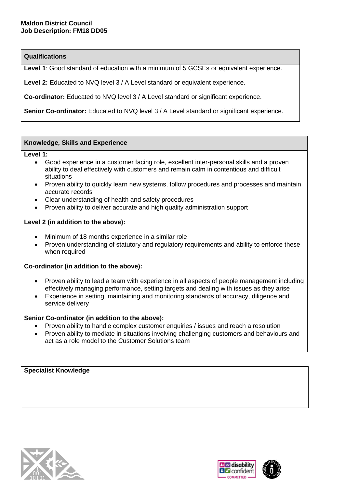#### **Qualifications**

Level 1: Good standard of education with a minimum of 5 GCSEs or equivalent experience.

**Level 2:** Educated to NVQ level 3 / A Level standard or equivalent experience.

**Co-ordinator:** Educated to NVQ level 3 / A Level standard or significant experience.

**Senior Co-ordinator:** Educated to NVQ level 3 / A Level standard or significant experience.

#### **Knowledge, Skills and Experience**

**Level 1:**

- Good experience in a customer facing role, excellent inter-personal skills and a proven ability to deal effectively with customers and remain calm in contentious and difficult situations
- Proven ability to quickly learn new systems, follow procedures and processes and maintain accurate records
- Clear understanding of health and safety procedures
- Proven ability to deliver accurate and high quality administration support

#### **Level 2 (in addition to the above):**

- Minimum of 18 months experience in a similar role
- Proven understanding of statutory and regulatory requirements and ability to enforce these when required

#### **Co-ordinator (in addition to the above):**

- Proven ability to lead a team with experience in all aspects of people management including effectively managing performance, setting targets and dealing with issues as they arise
- Experience in setting, maintaining and monitoring standards of accuracy, diligence and service delivery

#### **Senior Co-ordinator (in addition to the above):**

- Proven ability to handle complex customer enquiries / issues and reach a resolution
- Proven ability to mediate in situations involving challenging customers and behaviours and act as a role model to the Customer Solutions team

#### **Specialist Knowledge**



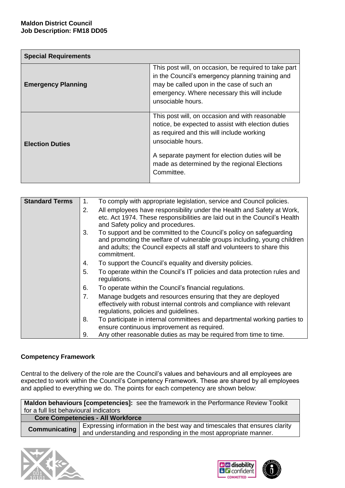| <b>Special Requirements</b> |                                                                                                                                                                                                                                                                                         |  |
|-----------------------------|-----------------------------------------------------------------------------------------------------------------------------------------------------------------------------------------------------------------------------------------------------------------------------------------|--|
| <b>Emergency Planning</b>   | This post will, on occasion, be required to take part<br>in the Council's emergency planning training and<br>may be called upon in the case of such an<br>emergency. Where necessary this will include<br>unsociable hours.                                                             |  |
| <b>Election Duties</b>      | This post will, on occasion and with reasonable<br>notice, be expected to assist with election duties<br>as required and this will include working<br>unsociable hours.<br>A separate payment for election duties will be<br>made as determined by the regional Elections<br>Committee. |  |

| <b>Standard Terms</b> | 1.             | To comply with appropriate legislation, service and Council policies.                                                                                                                                                                    |
|-----------------------|----------------|------------------------------------------------------------------------------------------------------------------------------------------------------------------------------------------------------------------------------------------|
|                       | 2.             | All employees have responsibility under the Health and Safety at Work,<br>etc. Act 1974. These responsibilities are laid out in the Council's Health<br>and Safety policy and procedures.                                                |
|                       | 3.             | To support and be committed to the Council's policy on safeguarding<br>and promoting the welfare of vulnerable groups including, young children<br>and adults; the Council expects all staff and volunteers to share this<br>commitment. |
|                       | 4.             | To support the Council's equality and diversity policies.                                                                                                                                                                                |
|                       | 5.             | To operate within the Council's IT policies and data protection rules and<br>regulations.                                                                                                                                                |
|                       | 6.             | To operate within the Council's financial regulations.                                                                                                                                                                                   |
|                       | 7 <sub>1</sub> | Manage budgets and resources ensuring that they are deployed<br>effectively with robust internal controls and compliance with relevant<br>regulations, policies and guidelines.                                                          |
|                       | 8.             | To participate in internal committees and departmental working parties to<br>ensure continuous improvement as required.                                                                                                                  |
|                       | 9.             | Any other reasonable duties as may be required from time to time.                                                                                                                                                                        |

#### **Competency Framework**

Central to the delivery of the role are the Council's values and behaviours and all employees are expected to work within the Council's Competency Framework. These are shared by all employees and applied to everything we do. The points for each competency are shown below:

|                                        | <b>Maldon behaviours [competencies]:</b> see the framework in the Performance Review Toolkit                                                   |
|----------------------------------------|------------------------------------------------------------------------------------------------------------------------------------------------|
| for a full list behavioural indicators |                                                                                                                                                |
|                                        | <b>Core Competencies - All Workforce</b>                                                                                                       |
| <b>Communicating</b>                   | Expressing information in the best way and timescales that ensures clarity<br>and understanding and responding in the most appropriate manner. |